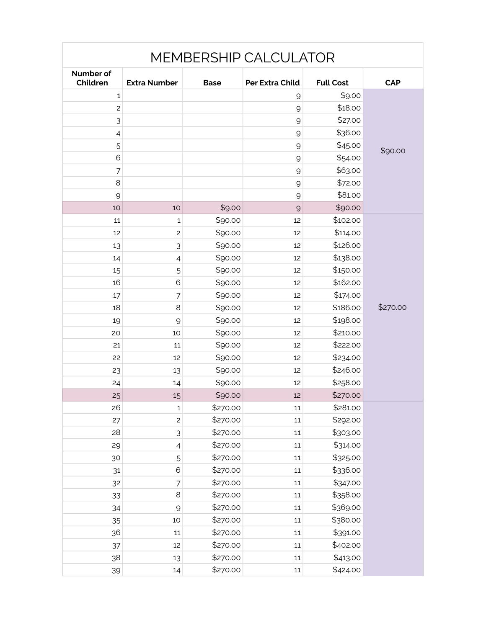|                       |                     |             | <b>MEMBERSHIP CALCULATOR</b> |                  |            |
|-----------------------|---------------------|-------------|------------------------------|------------------|------------|
| Number of<br>Children | <b>Extra Number</b> | <b>Base</b> | <b>Per Extra Child</b>       | <b>Full Cost</b> | <b>CAP</b> |
| 1                     |                     |             | $\mathcal{Q}$                | \$9.00           |            |
| $\overline{c}$        |                     |             | 9                            | \$18.00          |            |
| 3                     |                     |             | $\mathcal{Q}$                | \$27.00          |            |
| 4                     |                     |             | $\mathcal{Q}$                | \$36.00          |            |
| 5                     |                     |             | 9                            | \$45.00          | \$90.00    |
| 6                     |                     |             | 9                            | \$54.00          |            |
| $\overline{7}$        |                     |             | $\mathcal{Q}$                | \$63.00          |            |
| 8                     |                     |             | $\mathcal{Q}$                | \$72.00          |            |
| 9                     |                     |             | $\mathcal{Q}$                | \$81.00          |            |
| 10                    | 10                  | \$9.00      | $\mathcal{Q}$                | \$90.00          |            |
| 11                    | 1                   | \$90.00     | 12                           | \$102.00         |            |
| 12                    | $\overline{c}$      | \$90.00     | 12                           | \$114.00         |            |
| 13                    | 3                   | \$90.00     | 12                           | \$126.00         |            |
| 14                    | 4                   | \$90.00     | 12                           | \$138.00         |            |
| 15                    | 5                   | \$90.00     | 12                           | \$150.00         |            |
| 16                    | 6                   | \$90.00     | 12                           | \$162.00         |            |
| 17                    | 7                   | \$90.00     | 12                           | \$174.00         |            |
| 18                    | 8                   | \$90.00     | 12                           | \$186.00         | \$270.00   |
| 19                    | 9                   | \$90.00     | 12                           | \$198.00         |            |
| 20                    | 10                  | \$90.00     | 12                           | \$210.00         |            |
| 21                    | 11                  | \$90.00     | 12                           | \$222.00         |            |
| 22                    | 12                  | \$90.00     | 12                           | \$234.00         |            |
| 23                    | 13                  | \$90.00     | 12                           | \$246.00         |            |
| 24                    | 14                  | \$90.00     | 12                           | \$258.00         |            |
| 25                    | 15                  | \$90.00     | 12                           | \$270.00         |            |
| 26                    | $\mathbf 1$         | \$270.00    | 11                           | \$281.00         |            |
| 27                    | $\mathsf{S}$        | \$270.00    | $11\,$                       | \$292.00         |            |
| 28                    | 3                   | \$270.00    | 11                           | \$303.00         |            |
| 29                    | $\overline{4}$      | \$270.00    | 11                           | \$314.00         |            |
| 30                    | 5                   | \$270.00    | 11                           | \$325.00         |            |
| 31                    | $\mathbf 6$         | \$270.00    | $11\,$                       | \$336.00         |            |
| 32                    | 7                   | \$270.00    | 11                           | \$347.00         |            |
| 33                    | $\,8\,$             | \$270.00    | 11                           | \$358.00         |            |
| 34                    | $\mathsf{Q}$        | \$270.00    | 11                           | \$369.00         |            |
| 35                    | 10                  | \$270.00    | $11\,$                       | \$380.00         |            |
| 36                    | $11\,$              | \$270.00    | 11                           | \$391.00         |            |
| 37                    | 12                  | \$270.00    | 11                           | \$402.00         |            |
| 38                    | 13                  | \$270.00    | 11                           | \$413.00         |            |
| 39                    | 14                  | \$270.00    | $11\,$                       | \$424.00         |            |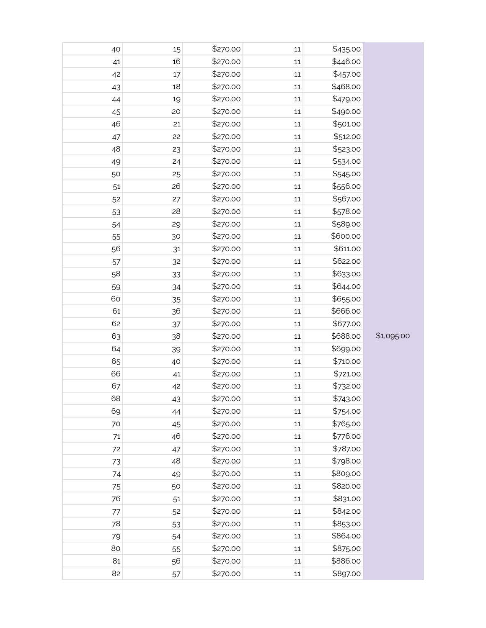| 40 | 15 | \$270.00 | 11     | \$435.00 |            |
|----|----|----------|--------|----------|------------|
| 41 | 16 | \$270.00 | $11\,$ | \$446.00 |            |
| 42 | 17 | \$270.00 | 11     | \$457.00 |            |
| 43 | 18 | \$270.00 | $11\,$ | \$468.00 |            |
| 44 | 19 | \$270.00 | $11\,$ | \$479.00 |            |
| 45 | 20 | \$270.00 | $11\,$ | \$490.00 |            |
| 46 | 21 | \$270.00 | $11\,$ | \$501.00 |            |
| 47 | 22 | \$270.00 | $11\,$ | \$512.00 |            |
| 48 | 23 | \$270.00 | $11\,$ | \$523.00 |            |
| 49 | 24 | \$270.00 | $11\,$ | \$534.00 |            |
| 50 | 25 | \$270.00 | 11     | \$545.00 |            |
| 51 | 26 | \$270.00 | $11\,$ | \$556.00 |            |
| 52 | 27 | \$270.00 | $11\,$ | \$567.00 |            |
| 53 | 28 | \$270.00 | $11\,$ | \$578.00 |            |
| 54 | 29 | \$270.00 | $11\,$ | \$589.00 |            |
| 55 | 30 | \$270.00 | $11\,$ | \$600.00 |            |
| 56 | 31 | \$270.00 | $11\,$ | \$611.00 |            |
| 57 | 32 | \$270.00 | $11\,$ | \$622.00 |            |
| 58 | 33 | \$270.00 | 11     | \$633.00 |            |
| 59 | 34 | \$270.00 | $11\,$ | \$644.00 |            |
| 60 | 35 | \$270.00 | $11\,$ | \$655.00 |            |
| 61 | 36 | \$270.00 | $11\,$ | \$666.00 |            |
| 62 | 37 | \$270.00 | $11\,$ | \$677.00 |            |
| 63 | 38 | \$270.00 | $11\,$ | \$688.00 | \$1,095.00 |
| 64 | 39 | \$270.00 | $11\,$ | \$699.00 |            |
| 65 | 40 | \$270.00 | $11\,$ | \$710.00 |            |
| 66 | 41 | \$270.00 | 11     | \$721.00 |            |
| 67 | 42 | \$270.00 | $11\,$ | \$732.00 |            |
| 68 | 43 | \$270.00 | 11     | \$743.00 |            |
| 69 | 44 | \$270.00 | 11     | \$754.00 |            |
| 70 | 45 | \$270.00 | 11     | \$765.00 |            |
| 71 | 46 | \$270.00 | $11\,$ | \$776.00 |            |
| 72 | 47 | \$270.00 | 11     | \$787.00 |            |
| 73 | 48 | \$270.00 | $11\,$ | \$798.00 |            |
| 74 | 49 | \$270.00 | 11     | \$809.00 |            |
| 75 | 50 | \$270.00 | $11\,$ | \$820.00 |            |
| 76 | 51 | \$270.00 | 11     | \$831.00 |            |
| 77 | 52 | \$270.00 | 11     | \$842.00 |            |
| 78 | 53 | \$270.00 | 11     | \$853.00 |            |
| 79 | 54 | \$270.00 | $11\,$ | \$864.00 |            |
| 80 | 55 | \$270.00 | 11     | \$875.00 |            |
| 81 | 56 | \$270.00 | $11\,$ | \$886.00 |            |
| 82 | 57 | \$270.00 | 11     | \$897.00 |            |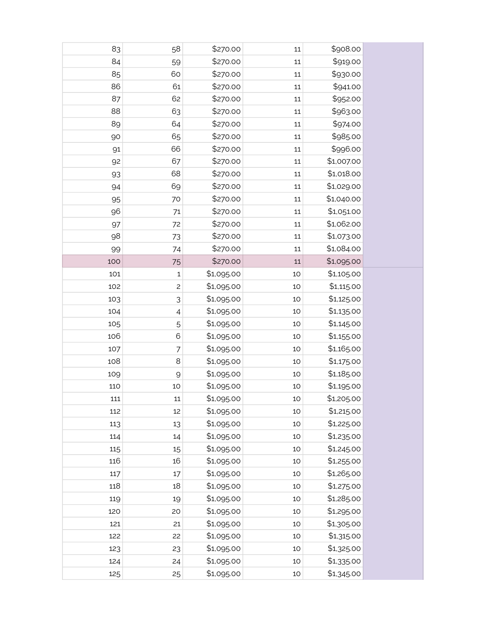| 83  | 58             | \$270.00   | 11     | \$908.00   |
|-----|----------------|------------|--------|------------|
| 84  | 59             | \$270.00   | 11     | \$919.00   |
| 85  | 60             | \$270.00   | $11\,$ | \$930.00   |
| 86  | 61             | \$270.00   | 11     | \$941.00   |
| 87  | 62             | \$270.00   | 11     | \$952.00   |
| 88  | 63             | \$270.00   | 11     | \$963.00   |
| 89  | 64             | \$270.00   | 11     | \$974.00   |
| 90  | 65             | \$270.00   | 11     | \$985.00   |
| 91  | 66             | \$270.00   | $11\,$ | \$996.00   |
| 92  | 67             | \$270.00   | 11     | \$1,007.00 |
| 93  | 68             | \$270.00   | $11\,$ | \$1,018.00 |
| 94  | 69             | \$270.00   | $11\,$ | \$1,029.00 |
| 95  | 70             | \$270.00   | $11\,$ | \$1,040.00 |
| 96  | 71             | \$270.00   | $11\,$ | \$1,051.00 |
| 97  | 72             | \$270.00   | 11     | \$1,062.00 |
| 98  | 73             | \$270.00   | 11     | \$1,073.00 |
| 99  | 74             | \$270.00   | 11     | \$1,084.00 |
| 100 | 75             | \$270.00   | $11\,$ | \$1,095.00 |
| 101 | $\mathbf 1$    | \$1,095.00 | 10     | \$1,105.00 |
| 102 | $\overline{c}$ | \$1,095.00 | 10     | \$1,115.00 |
| 103 | 3              | \$1,095.00 | 10     | \$1,125.00 |
| 104 | $\overline{4}$ | \$1,095.00 | 10     | \$1,135.00 |
| 105 | 5              | \$1,095.00 | 10     | \$1,145.00 |
| 106 | 6              | \$1,095.00 | 10     | \$1,155.00 |
| 107 | $\overline{7}$ | \$1,095.00 | 10     | \$1,165.00 |
| 108 | $\,8\,$        | \$1,095.00 | 10     | \$1,175.00 |
| 109 | 9              | \$1,095.00 | 10     | \$1,185.00 |
| 110 | 10             | \$1,095.00 | 10     | \$1,195.00 |
| 111 | 11             | \$1,095.00 | 10     | \$1,205.00 |
| 112 | 12             | \$1,095.00 | 10     | \$1,215.00 |
| 113 | 13             | \$1,095.00 | 10     | \$1,225.00 |
| 114 | 14             | \$1,095.00 | 10     | \$1,235.00 |
| 115 | 15             | \$1,095.00 | 10     | \$1,245.00 |
| 116 | 16             | \$1,095.00 | 10     | \$1,255.00 |
| 117 | 17             | \$1,095.00 | 10     | \$1,265.00 |
| 118 | 18             | \$1,095.00 | 10     | \$1,275.00 |
| 119 | 19             | \$1,095.00 | 10     | \$1,285.00 |
| 120 | 20             | \$1,095.00 | 10     | \$1,295.00 |
| 121 | 21             | \$1,095.00 | 10     | \$1,305.00 |
| 122 | 22             | \$1,095.00 | 10     | \$1,315.00 |
| 123 | 23             | \$1,095.00 | 10     | \$1,325.00 |
| 124 | 24             | \$1,095.00 | 10     | \$1,335.00 |
| 125 | 25             | \$1,095.00 | 10     | \$1,345.00 |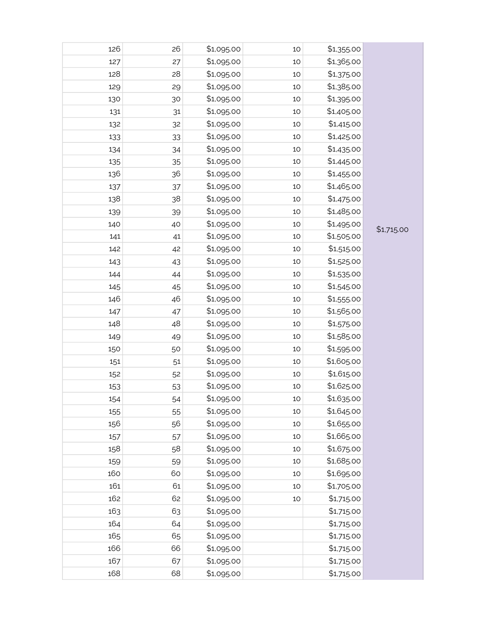| 126 | 26 | \$1,095.00 | 10 | \$1,355.00 |            |
|-----|----|------------|----|------------|------------|
| 127 | 27 | \$1,095.00 | 10 | \$1,365.00 |            |
| 128 | 28 | \$1,095.00 | 10 | \$1,375.00 |            |
| 129 | 29 | \$1,095.00 | 10 | \$1,385.00 |            |
| 130 | 30 | \$1,095.00 | 10 | \$1,395.00 |            |
| 131 | 31 | \$1,095.00 | 10 | \$1,405.00 |            |
| 132 | 32 | \$1,095.00 | 10 | \$1,415.00 |            |
| 133 | 33 | \$1,095.00 | 10 | \$1,425.00 |            |
| 134 | 34 | \$1,095.00 | 10 | \$1,435.00 |            |
| 135 | 35 | \$1,095.00 | 10 | \$1,445.00 |            |
| 136 | 36 | \$1,095.00 | 10 | \$1,455.00 |            |
| 137 | 37 | \$1,095.00 | 10 | \$1,465.00 |            |
| 138 | 38 | \$1,095.00 | 10 | \$1,475.00 |            |
| 139 | 39 | \$1,095.00 | 10 | \$1,485.00 |            |
| 140 | 40 | \$1,095.00 | 10 | \$1,495.00 |            |
| 141 | 41 | \$1,095.00 | 10 | \$1,505.00 | \$1,715.00 |
| 142 | 42 | \$1,095.00 | 10 | \$1,515.00 |            |
| 143 | 43 | \$1,095.00 | 10 | \$1,525.00 |            |
| 144 | 44 | \$1,095.00 | 10 | \$1,535.00 |            |
| 145 | 45 | \$1,095.00 | 10 | \$1,545.00 |            |
| 146 | 46 | \$1,095.00 | 10 | \$1,555.00 |            |
| 147 | 47 | \$1,095.00 | 10 | \$1,565.00 |            |
| 148 | 48 | \$1,095.00 | 10 | \$1,575.00 |            |
| 149 | 49 | \$1,095.00 | 10 | \$1,585.00 |            |
| 150 | 50 | \$1,095.00 | 10 | \$1,595.00 |            |
| 151 | 51 | \$1,095.00 | 10 | \$1,605.00 |            |
| 152 | 52 | \$1,095.00 | 10 | \$1,615.00 |            |
| 153 | 53 | \$1,095.00 | 10 | \$1,625.00 |            |
| 154 | 54 | \$1,095.00 | 10 | \$1,635.00 |            |
| 155 | 55 | \$1,095.00 | 10 | \$1,645.00 |            |
| 156 | 56 | \$1,095.00 | 10 | \$1,655.00 |            |
| 157 | 57 | \$1,095.00 | 10 | \$1,665.00 |            |
| 158 | 58 | \$1,095.00 | 10 | \$1,675.00 |            |
| 159 | 59 | \$1,095.00 | 10 | \$1,685.00 |            |
| 160 | 60 | \$1,095.00 | 10 | \$1,695.00 |            |
| 161 | 61 | \$1,095.00 | 10 | \$1,705.00 |            |
| 162 | 62 | \$1,095.00 | 10 | \$1,715.00 |            |
| 163 | 63 | \$1,095.00 |    | \$1,715.00 |            |
| 164 | 64 | \$1,095.00 |    | \$1,715.00 |            |
| 165 | 65 | \$1,095.00 |    | \$1,715.00 |            |
| 166 | 66 | \$1,095.00 |    | \$1,715.00 |            |
| 167 | 67 | \$1,095.00 |    | \$1,715.00 |            |
| 168 | 68 | \$1,095.00 |    | \$1,715.00 |            |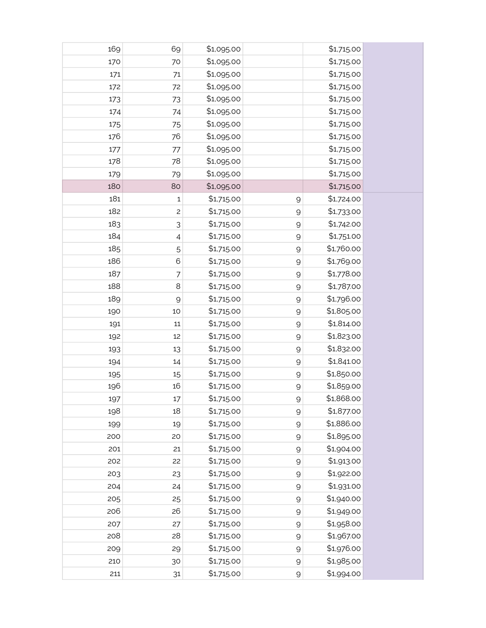| 169 | 69                        | \$1,095.00 |              | \$1,715.00 |
|-----|---------------------------|------------|--------------|------------|
| 170 | 70                        | \$1,095.00 |              | \$1,715.00 |
| 171 | 71                        | \$1,095.00 |              | \$1,715.00 |
| 172 | 72                        | \$1,095.00 |              | \$1,715.00 |
| 173 | 73                        | \$1,095.00 |              | \$1,715.00 |
| 174 | 74                        | \$1,095.00 |              | \$1,715.00 |
| 175 | 75                        | \$1,095.00 |              | \$1,715.00 |
| 176 | 76                        | \$1,095.00 |              | \$1,715.00 |
| 177 | 77                        | \$1,095.00 |              | \$1,715.00 |
| 178 | 78                        | \$1,095.00 |              | \$1,715.00 |
| 179 | 79                        | \$1,095.00 |              | \$1,715.00 |
| 180 | 80                        | \$1,095.00 |              | \$1,715.00 |
| 181 | 1                         | \$1,715.00 | $\mathsf{Q}$ | \$1,724.00 |
| 182 | $\overline{c}$            | \$1,715.00 | $\mathsf{Q}$ | \$1,733.00 |
| 183 | $\ensuremath{\mathsf{3}}$ | \$1,715.00 | 9            | \$1,742.00 |
| 184 | 4                         | \$1,715.00 | $\mathsf{Q}$ | \$1,751.00 |
| 185 | 5                         | \$1,715.00 | $\mathsf{Q}$ | \$1,760.00 |
| 186 | 6                         | \$1,715.00 | $\mathsf{Q}$ | \$1,769.00 |
| 187 | $\overline{7}$            | \$1,715.00 | $\mathsf{Q}$ | \$1,778.00 |
| 188 | 8                         | \$1,715.00 | 9            | \$1,787.00 |
| 189 | $\mathcal{Q}$             | \$1,715.00 | $\mathsf{Q}$ | \$1,796.00 |
| 190 | 10                        | \$1,715.00 | $\mathsf{Q}$ | \$1,805.00 |
| 191 | 11                        | \$1,715.00 | $\mathsf{Q}$ | \$1,814.00 |
| 192 | 12                        | \$1,715.00 | $\mathsf{Q}$ | \$1,823.00 |
| 193 | 13                        | \$1,715.00 | $\mathsf{Q}$ | \$1,832.00 |
| 194 | 14                        | \$1,715.00 | $\mathsf{Q}$ | \$1,841.00 |
| 195 | 15                        | \$1,715.00 | $\mathsf{Q}$ | \$1,850.00 |
| 196 | 16                        | \$1,715.00 | 9            | \$1,859.00 |
| 197 | 17                        | \$1,715.00 | 9            | \$1,868.00 |
| 198 | 18                        | \$1,715.00 | $\mathsf{Q}$ | \$1,877.00 |
| 199 | 19                        | \$1,715.00 | $\mathsf{Q}$ | \$1,886.00 |
| 200 | 20                        | \$1,715.00 | $\mathsf{Q}$ | \$1,895.00 |
| 201 | 21                        | \$1,715.00 | $\mathsf{Q}$ | \$1,904.00 |
| 202 | 22                        | \$1,715.00 | $\mathsf{Q}$ | \$1,913.00 |
| 203 | 23                        | \$1,715.00 | $\mathsf{Q}$ | \$1,922.00 |
| 204 | 24                        | \$1,715.00 | $\mathsf 9$  | \$1,931.00 |
| 205 | 25                        | \$1,715.00 | $\mathsf{Q}$ | \$1,940.00 |
| 206 | 26                        | \$1,715.00 | $\mathsf{Q}$ | \$1,949.00 |
| 207 | 27                        | \$1,715.00 | $\mathsf{Q}$ | \$1,958.00 |
| 208 | 28                        | \$1,715.00 | $\mathsf{Q}$ | \$1,967.00 |
| 209 | 29                        | \$1,715.00 | $\mathsf{Q}$ | \$1,976.00 |
| 210 | 30                        | \$1,715.00 | $\mathsf{Q}$ | \$1,985.00 |
| 211 | 31                        | \$1,715.00 | $\mathsf{Q}$ | \$1,994.00 |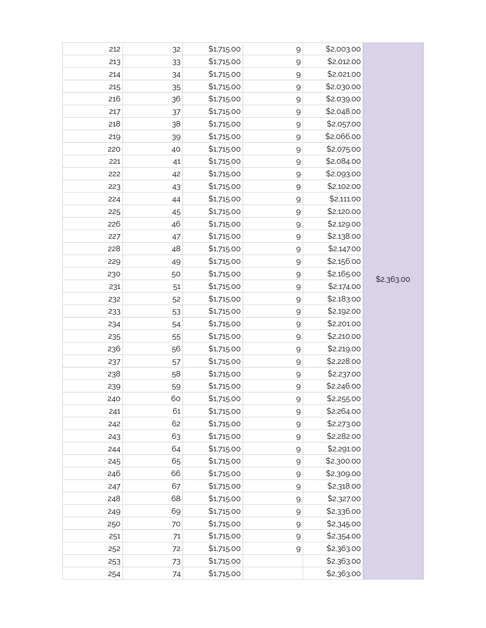| 212 | 32 | \$1,715.00 | $\Theta$     | \$2,003.00 |            |
|-----|----|------------|--------------|------------|------------|
| 213 | 33 | \$1,715.00 | $\mathsf 9$  | \$2,012.00 |            |
| 214 | 34 | \$1,715.00 | $\mathsf{Q}$ | \$2,021.00 |            |
| 215 | 35 | \$1,715.00 | 9            | \$2,030.00 |            |
| 216 | 36 | \$1,715.00 | $\mathsf{Q}$ | \$2,039.00 |            |
| 217 | 37 | \$1,715.00 | $\mathsf{Q}$ | \$2,048.00 |            |
| 218 | 38 | \$1,715.00 | $\mathsf{Q}$ | \$2,057.00 |            |
| 219 | 39 | \$1,715.00 | $\mathsf{Q}$ | \$2,066.00 |            |
| 220 | 40 | \$1,715.00 | $\mathsf{Q}$ | \$2,075.00 |            |
| 221 | 41 | \$1,715.00 | $\mathsf{Q}$ | \$2,084.00 |            |
| 222 | 42 | \$1,715.00 | $\mathsf{Q}$ | \$2,093.00 |            |
| 223 | 43 | \$1,715.00 | $\mathsf{Q}$ | \$2,102.00 |            |
| 224 | 44 | \$1,715.00 | $\mathsf{Q}$ | \$2,111.00 |            |
| 225 | 45 | \$1,715.00 | $\mathsf{Q}$ | \$2,120.00 |            |
| 226 | 46 | \$1,715.00 | $\mathsf{Q}$ | \$2,129.00 |            |
| 227 | 47 | \$1,715.00 | $\mathsf{Q}$ | \$2,138.00 |            |
| 228 | 48 | \$1,715.00 | $\mathsf{Q}$ | \$2,147.00 |            |
| 229 | 49 | \$1,715.00 | $\mathsf{Q}$ | \$2,156.00 |            |
| 230 | 50 | \$1,715.00 | $\mathsf{Q}$ | \$2,165.00 | \$2,363.00 |
| 231 | 51 | \$1,715.00 | $\mathsf 9$  | \$2,174.00 |            |
| 232 | 52 | \$1,715.00 | $\mathsf 9$  | \$2,183.00 |            |
| 233 | 53 | \$1,715.00 | $\mathsf{Q}$ | \$2,192.00 |            |
| 234 | 54 | \$1,715.00 | $\mathsf 9$  | \$2,201.00 |            |
| 235 | 55 | \$1,715.00 | $\mathsf{Q}$ | \$2,210.00 |            |
| 236 | 56 | \$1,715.00 | $\mathsf 9$  | \$2,219.00 |            |
| 237 | 57 | \$1,715.00 | $\mathsf 9$  | \$2,228.00 |            |
| 238 | 58 | \$1,715.00 | $\mathsf 9$  | \$2,237.00 |            |
| 239 | 59 | \$1,715.00 | $\Theta$     | \$2,246.00 |            |
| 240 | 60 | \$1,715.00 | 9            | \$2,255.00 |            |
| 241 | 61 | \$1,715.00 | $\mathsf{Q}$ | \$2,264.00 |            |
| 242 | 62 | \$1,715.00 | $\mathsf 9$  | \$2,273.00 |            |
| 243 | 63 | \$1,715.00 | $\mathsf{Q}$ | \$2,282.00 |            |
| 244 | 64 | \$1,715.00 | $\mathsf 9$  | \$2,291.00 |            |
| 245 | 65 | \$1,715.00 | $\mathsf{Q}$ | \$2,300.00 |            |
| 246 | 66 | \$1,715.00 | $\mathsf{Q}$ | \$2,309.00 |            |
| 247 | 67 | \$1,715.00 | $\mathsf{Q}$ | \$2,318.00 |            |
| 248 | 68 | \$1,715.00 | $\mathsf{Q}$ | \$2,327.00 |            |
| 249 | 69 | \$1,715.00 | $\mathsf{Q}$ | \$2,336.00 |            |
| 250 | 70 | \$1,715.00 | $\mathsf{Q}$ | \$2,345.00 |            |
| 251 | 71 | \$1,715.00 | $\mathsf{Q}$ | \$2,354.00 |            |
| 252 | 72 | \$1,715.00 | $\mathsf{Q}$ | \$2,363.00 |            |
| 253 | 73 | \$1,715.00 |              | \$2,363.00 |            |
| 254 | 74 | \$1,715.00 |              | \$2,363.00 |            |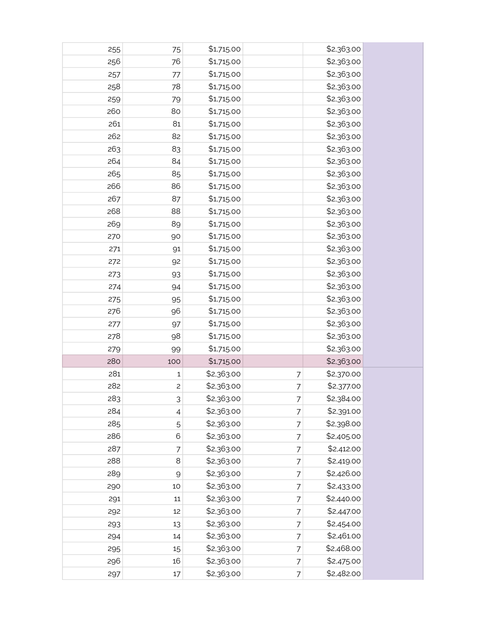| 255 | 75             | \$1,715.00 |   | \$2,363.00 |
|-----|----------------|------------|---|------------|
| 256 | 76             | \$1,715.00 |   | \$2,363.00 |
| 257 | 77             | \$1,715.00 |   | \$2,363.00 |
| 258 | 78             | \$1,715.00 |   | \$2,363.00 |
| 259 | 79             | \$1,715.00 |   | \$2,363.00 |
| 260 | 80             | \$1,715.00 |   | \$2,363.00 |
| 261 | 81             | \$1,715.00 |   | \$2,363.00 |
| 262 | 82             | \$1,715.00 |   | \$2,363.00 |
| 263 | 83             | \$1,715.00 |   | \$2,363.00 |
| 264 | 84             | \$1,715.00 |   | \$2,363.00 |
| 265 | 85             | \$1,715.00 |   | \$2,363.00 |
| 266 | 86             | \$1,715.00 |   | \$2,363.00 |
| 267 | 87             | \$1,715.00 |   | \$2,363.00 |
| 268 | 88             | \$1,715.00 |   | \$2,363.00 |
| 269 | 89             | \$1,715.00 |   | \$2,363.00 |
| 270 | 90             | \$1,715.00 |   | \$2,363.00 |
| 271 | 91             | \$1,715.00 |   | \$2,363.00 |
| 272 | 92             | \$1,715.00 |   | \$2,363.00 |
| 273 | 93             | \$1,715.00 |   | \$2,363.00 |
| 274 | 94             | \$1,715.00 |   | \$2,363.00 |
| 275 | 95             | \$1,715.00 |   | \$2,363.00 |
| 276 | 96             | \$1,715.00 |   | \$2,363.00 |
| 277 | 97             | \$1,715.00 |   | \$2,363.00 |
| 278 | 98             | \$1,715.00 |   | \$2,363.00 |
| 279 | 99             | \$1,715.00 |   | \$2,363.00 |
| 280 | 100            | \$1,715.00 |   | \$2,363.00 |
| 281 | 1              | \$2,363.00 | 7 | \$2,370.00 |
| 282 | $\overline{c}$ | \$2,363.00 | 7 | \$2,377.00 |
| 283 | 3              | \$2,363.00 | 7 | \$2,384.00 |
| 284 | 4              | \$2,363.00 | 7 | \$2,391.00 |
| 285 | 5              | \$2,363.00 | 7 | \$2,398.00 |
| 286 | 6              | \$2,363.00 | 7 | \$2,405.00 |
| 287 | 7              | \$2,363.00 | 7 | \$2,412.00 |
| 288 | 8              | \$2,363.00 | 7 | \$2,419.00 |
| 289 | $\mathsf{Q}$   | \$2,363.00 | 7 | \$2,426.00 |
| 290 | 10             | \$2,363.00 | 7 | \$2,433.00 |
| 291 | 11             | \$2,363.00 | 7 | \$2,440.00 |
| 292 | 12             | \$2,363.00 | 7 | \$2,447.00 |
| 293 | 13             | \$2,363.00 | 7 | \$2,454.00 |
| 294 | 14             | \$2,363.00 | 7 | \$2,461.00 |
| 295 | 15             | \$2,363.00 | 7 | \$2,468.00 |
| 296 | 16             | \$2,363.00 | 7 | \$2,475.00 |
| 297 | $17$           | \$2,363.00 | 7 | \$2,482.00 |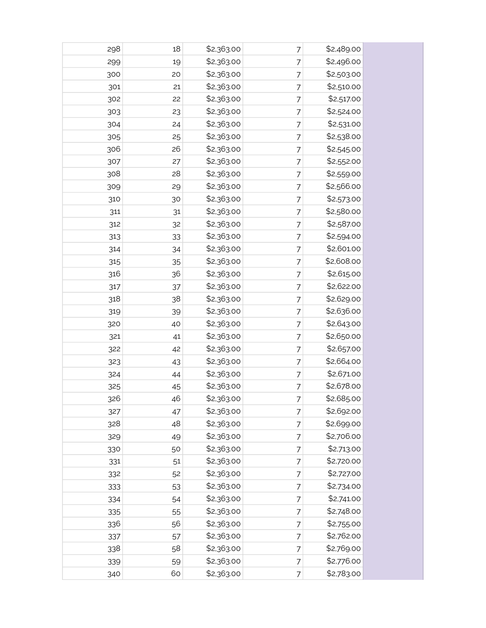| 298 | 18 | \$2,363.00 | 7 | \$2,489.00 |  |
|-----|----|------------|---|------------|--|
| 299 | 19 | \$2,363.00 | 7 | \$2,496.00 |  |
| 300 | 20 | \$2,363.00 | 7 | \$2,503.00 |  |
| 301 | 21 | \$2,363.00 | 7 | \$2,510.00 |  |
| 302 | 22 | \$2,363.00 | 7 | \$2,517.00 |  |
| 303 | 23 | \$2,363.00 | 7 | \$2,524.00 |  |
| 304 | 24 | \$2,363.00 | 7 | \$2,531.00 |  |
| 305 | 25 | \$2,363.00 | 7 | \$2,538.00 |  |
| 306 | 26 | \$2,363.00 | 7 | \$2,545.00 |  |
| 307 | 27 | \$2,363.00 | 7 | \$2,552.00 |  |
| 308 | 28 | \$2,363.00 | 7 | \$2,559.00 |  |
| 309 | 29 | \$2,363.00 | 7 | \$2,566.00 |  |
| 310 | 30 | \$2,363.00 | 7 | \$2,573.00 |  |
| 311 | 31 | \$2,363.00 | 7 | \$2,580.00 |  |
| 312 | 32 | \$2,363.00 | 7 | \$2,587.00 |  |
| 313 | 33 | \$2,363.00 | 7 | \$2,594.00 |  |
| 314 | 34 | \$2,363.00 | 7 | \$2,601.00 |  |
| 315 | 35 | \$2,363.00 | 7 | \$2,608.00 |  |
| 316 | 36 | \$2,363.00 | 7 | \$2,615.00 |  |
| 317 | 37 | \$2,363.00 | 7 | \$2,622.00 |  |
| 318 | 38 | \$2,363.00 | 7 | \$2,629.00 |  |
| 319 | 39 | \$2,363.00 | 7 | \$2,636.00 |  |
| 320 | 40 | \$2,363.00 | 7 | \$2,643.00 |  |
| 321 | 41 | \$2,363.00 | 7 | \$2,650.00 |  |
| 322 | 42 | \$2,363.00 | 7 | \$2,657.00 |  |
| 323 | 43 | \$2,363.00 | 7 | \$2,664.00 |  |
| 324 | 44 | \$2,363.00 | 7 | \$2,671.00 |  |
| 325 | 45 | \$2,363.00 | 7 | \$2,678.00 |  |
| 326 | 46 | \$2,363.00 | 7 | \$2,685.00 |  |
| 327 | 47 | \$2,363.00 | 7 | \$2,692.00 |  |
| 328 | 48 | \$2,363.00 | 7 | \$2,699.00 |  |
| 329 | 49 | \$2,363.00 | 7 | \$2,706.00 |  |
| 330 | 50 | \$2,363.00 | 7 | \$2,713.00 |  |
| 331 | 51 | \$2,363.00 | 7 | \$2,720.00 |  |
| 332 | 52 | \$2,363.00 | 7 | \$2,727.00 |  |
| 333 | 53 | \$2,363.00 | 7 | \$2,734.00 |  |
| 334 | 54 | \$2,363.00 | 7 | \$2,741.00 |  |
| 335 | 55 | \$2,363.00 | 7 | \$2,748.00 |  |
| 336 | 56 | \$2,363.00 | 7 | \$2,755.00 |  |
| 337 | 57 | \$2,363.00 | 7 | \$2,762.00 |  |
| 338 | 58 | \$2,363.00 | 7 | \$2,769.00 |  |
| 339 | 59 | \$2,363.00 | 7 | \$2,776.00 |  |
| 340 | 60 | \$2,363.00 | 7 | \$2,783.00 |  |